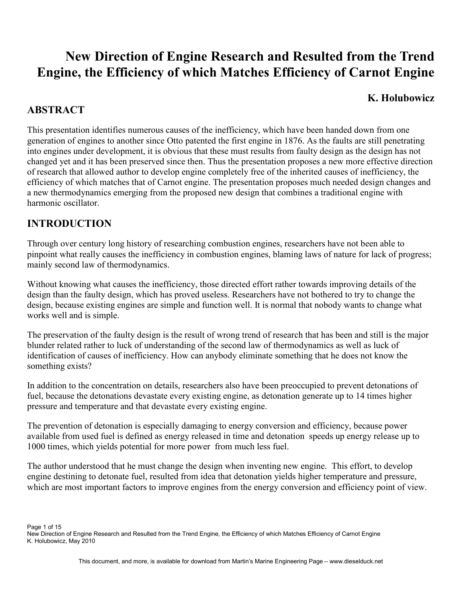# **-ew Direction of Engine Research and Resulted from the Trend Engine, the Efficiency of which Matches Efficiency of Carnot Engine**

#### **K. Holubowicz**

#### **ABSTRACT**

This presentation identifies numerous causes of the inefficiency, which have been handed down from one generation of engines to another since Otto patented the first engine in 1876. As the faults are still penetrating into engines under development, it is obvious that these must results from faulty design as the design has not changed yet and it has been preserved since then. Thus the presentation proposes a new more effective direction of research that allowed author to develop engine completely free of the inherited causes of inefficiency, the efficiency of which matches that of Carnot engine. The presentation proposes much needed design changes and a new thermodynamics emerging from the proposed new design that combines a traditional engine with harmonic oscillator.

#### **INTRODUCTION**

Through over century long history of researching combustion engines, researchers have not been able to pinpoint what really causes the inefficiency in combustion engines, blaming laws of nature for lack of progress; mainly second law of thermodynamics.

Without knowing what causes the inefficiency, those directed effort rather towards improving details of the design than the faulty design, which has proved useless. Researchers have not bothered to try to change the design, because existing engines are simple and function well. It is normal that nobody wants to change what works well and is simple.

The preservation of the faulty design is the result of wrong trend of research that has been and still is the major blunder related rather to luck of understanding of the second law of thermodynamics as well as luck of identification of causes of inefficiency. How can anybody eliminate something that he does not know the something exists?

In addition to the concentration on details, researchers also have been preoccupied to prevent detonations of fuel, because the detonations devastate every existing engine, as detonation generate up to 14 times higher pressure and temperature and that devastate every existing engine.

The prevention of detonation is especially damaging to energy conversion and efficiency, because power available from used fuel is defined as energy released in time and detonation speeds up energy release up to 1000 times, which yields potential for more power from much less fuel.

The author understood that he must change the design when inventing new engine. This effort, to develop engine destining to detonate fuel, resulted from idea that detonation yields higher temperature and pressure, which are most important factors to improve engines from the energy conversion and efficiency point of view.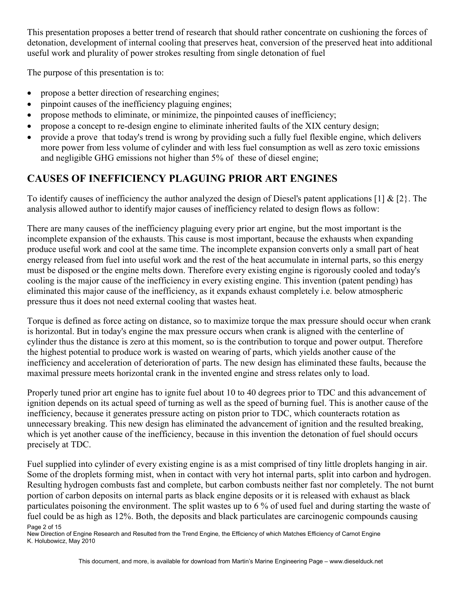This presentation proposes a better trend of research that should rather concentrate on cushioning the forces of detonation, development of internal cooling that preserves heat, conversion of the preserved heat into additional useful work and plurality of power strokes resulting from single detonation of fuel

The purpose of this presentation is to:

- propose a better direction of researching engines;
- pinpoint causes of the inefficiency plaguing engines;
- propose methods to eliminate, or minimize, the pinpointed causes of inefficiency;
- propose a concept to re-design engine to eliminate inherited faults of the XIX century design;
- provide a prove that today's trend is wrong by providing such a fully fuel flexible engine, which delivers more power from less volume of cylinder and with less fuel consumption as well as zero toxic emissions and negligible GHG emissions not higher than 5% of these of diesel engine;

## **CAUSES OF INEFFICIENCY PLAGUING PRIOR ART ENGINES**

To identify causes of inefficiency the author analyzed the design of Diesel's patent applications  $[1] \& [2]$ . The analysis allowed author to identify major causes of inefficiency related to design flows as follow:

There are many causes of the inefficiency plaguing every prior art engine, but the most important is the incomplete expansion of the exhausts. This cause is most important, because the exhausts when expanding produce useful work and cool at the same time. The incomplete expansion converts only a small part of heat energy released from fuel into useful work and the rest of the heat accumulate in internal parts, so this energy must be disposed or the engine melts down. Therefore every existing engine is rigorously cooled and today's cooling is the major cause of the inefficiency in every existing engine. This invention (patent pending) has eliminated this major cause of the inefficiency, as it expands exhaust completely i.e. below atmospheric pressure thus it does not need external cooling that wastes heat.

Torque is defined as force acting on distance, so to maximize torque the max pressure should occur when crank is horizontal. But in today's engine the max pressure occurs when crank is aligned with the centerline of cylinder thus the distance is zero at this moment, so is the contribution to torque and power output. Therefore the highest potential to produce work is wasted on wearing of parts, which yields another cause of the inefficiency and acceleration of deterioration of parts. The new design has eliminated these faults, because the maximal pressure meets horizontal crank in the invented engine and stress relates only to load.

Properly tuned prior art engine has to ignite fuel about 10 to 40 degrees prior to TDC and this advancement of ignition depends on its actual speed of turning as well as the speed of burning fuel. This is another cause of the inefficiency, because it generates pressure acting on piston prior to TDC, which counteracts rotation as unnecessary breaking. This new design has eliminated the advancement of ignition and the resulted breaking, which is yet another cause of the inefficiency, because in this invention the detonation of fuel should occurs precisely at TDC.

Page 2 of 15 Fuel supplied into cylinder of every existing engine is as a mist comprised of tiny little droplets hanging in air. Some of the droplets forming mist, when in contact with very hot internal parts, split into carbon and hydrogen. Resulting hydrogen combusts fast and complete, but carbon combusts neither fast nor completely. The not burnt portion of carbon deposits on internal parts as black engine deposits or it is released with exhaust as black particulates poisoning the environment. The split wastes up to 6 % of used fuel and during starting the waste of fuel could be as high as 12%. Both, the deposits and black particulates are carcinogenic compounds causing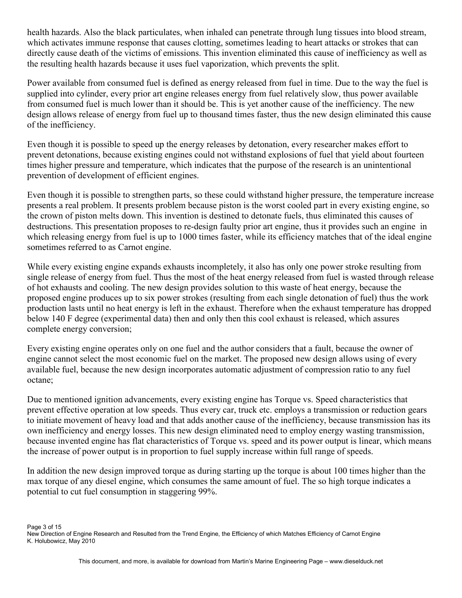health hazards. Also the black particulates, when inhaled can penetrate through lung tissues into blood stream, which activates immune response that causes clotting, sometimes leading to heart attacks or strokes that can directly cause death of the victims of emissions. This invention eliminated this cause of inefficiency as well as the resulting health hazards because it uses fuel vaporization, which prevents the split.

Power available from consumed fuel is defined as energy released from fuel in time. Due to the way the fuel is supplied into cylinder, every prior art engine releases energy from fuel relatively slow, thus power available from consumed fuel is much lower than it should be. This is yet another cause of the inefficiency. The new design allows release of energy from fuel up to thousand times faster, thus the new design eliminated this cause of the inefficiency.

Even though it is possible to speed up the energy releases by detonation, every researcher makes effort to prevent detonations, because existing engines could not withstand explosions of fuel that yield about fourteen times higher pressure and temperature, which indicates that the purpose of the research is an unintentional prevention of development of efficient engines.

Even though it is possible to strengthen parts, so these could withstand higher pressure, the temperature increase presents a real problem. It presents problem because piston is the worst cooled part in every existing engine, so the crown of piston melts down. This invention is destined to detonate fuels, thus eliminated this causes of destructions. This presentation proposes to re-design faulty prior art engine, thus it provides such an engine in which releasing energy from fuel is up to 1000 times faster, while its efficiency matches that of the ideal engine sometimes referred to as Carnot engine.

While every existing engine expands exhausts incompletely, it also has only one power stroke resulting from single release of energy from fuel. Thus the most of the heat energy released from fuel is wasted through release of hot exhausts and cooling. The new design provides solution to this waste of heat energy, because the proposed engine produces up to six power strokes (resulting from each single detonation of fuel) thus the work production lasts until no heat energy is left in the exhaust. Therefore when the exhaust temperature has dropped below 140 F degree (experimental data) then and only then this cool exhaust is released, which assures complete energy conversion;

Every existing engine operates only on one fuel and the author considers that a fault, because the owner of engine cannot select the most economic fuel on the market. The proposed new design allows using of every available fuel, because the new design incorporates automatic adjustment of compression ratio to any fuel octane;

Due to mentioned ignition advancements, every existing engine has Torque vs. Speed characteristics that prevent effective operation at low speeds. Thus every car, truck etc. employs a transmission or reduction gears to initiate movement of heavy load and that adds another cause of the inefficiency, because transmission has its own inefficiency and energy losses. This new design eliminated need to employ energy wasting transmission, because invented engine has flat characteristics of Torque vs. speed and its power output is linear, which means the increase of power output is in proportion to fuel supply increase within full range of speeds.

In addition the new design improved torque as during starting up the torque is about 100 times higher than the max torque of any diesel engine, which consumes the same amount of fuel. The so high torque indicates a potential to cut fuel consumption in staggering 99%.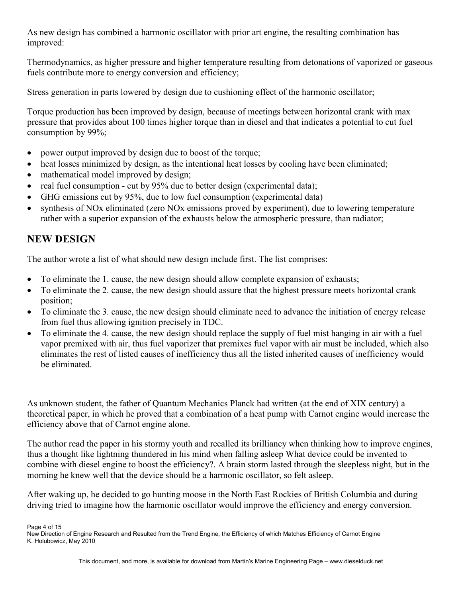As new design has combined a harmonic oscillator with prior art engine, the resulting combination has improved:

Thermodynamics, as higher pressure and higher temperature resulting from detonations of vaporized or gaseous fuels contribute more to energy conversion and efficiency;

Stress generation in parts lowered by design due to cushioning effect of the harmonic oscillator;

Torque production has been improved by design, because of meetings between horizontal crank with max pressure that provides about 100 times higher torque than in diesel and that indicates a potential to cut fuel consumption by 99%;

- power output improved by design due to boost of the torque;
- heat losses minimized by design, as the intentional heat losses by cooling have been eliminated;
- mathematical model improved by design;
- real fuel consumption cut by 95% due to better design (experimental data);
- GHG emissions cut by 95%, due to low fuel consumption (experimental data)
- synthesis of NOx eliminated (zero NOx emissions proved by experiment), due to lowering temperature rather with a superior expansion of the exhausts below the atmospheric pressure, than radiator;

#### $\bf{NEW}$  DESIGN

The author wrote a list of what should new design include first. The list comprises:

- To eliminate the 1, cause, the new design should allow complete expansion of exhausts;
- To eliminate the 2. cause, the new design should assure that the highest pressure meets horizontal crank position;
- To eliminate the 3. cause, the new design should eliminate need to advance the initiation of energy release from fuel thus allowing ignition precisely in TDC.
- To eliminate the 4. cause, the new design should replace the supply of fuel mist hanging in air with a fuel vapor premixed with air, thus fuel vaporizer that premixes fuel vapor with air must be included, which also eliminates the rest of listed causes of inefficiency thus all the listed inherited causes of inefficiency would be eliminated.

As unknown student, the father of Quantum Mechanics Planck had written (at the end of XIX century) a theoretical paper, in which he proved that a combination of a heat pump with Carnot engine would increase the efficiency above that of Carnot engine alone.

The author read the paper in his stormy youth and recalled its brilliancy when thinking how to improve engines, thus a thought like lightning thundered in his mind when falling asleep What device could be invented to combine with diesel engine to boost the efficiency?. A brain storm lasted through the sleepless night, but in the morning he knew well that the device should be a harmonic oscillator, so felt asleep.

After waking up, he decided to go hunting moose in the North East Rockies of British Columbia and during driving tried to imagine how the harmonic oscillator would improve the efficiency and energy conversion.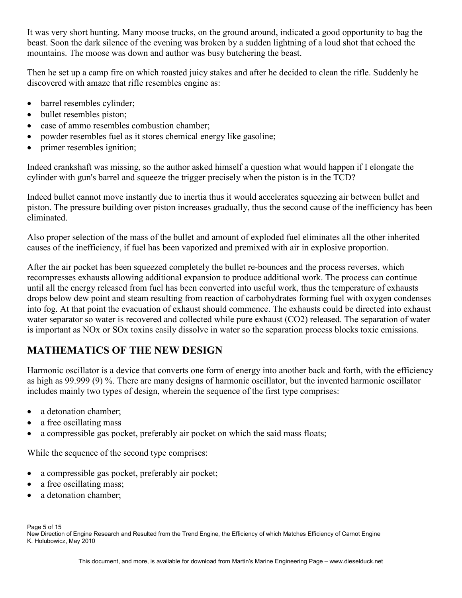It was very short hunting. Many moose trucks, on the ground around, indicated a good opportunity to bag the beast. Soon the dark silence of the evening was broken by a sudden lightning of a loud shot that echoed the mountains. The moose was down and author was busy butchering the beast.

Then he set up a camp fire on which roasted juicy stakes and after he decided to clean the rifle. Suddenly he discovered with amaze that rifle resembles engine as:

- barrel resembles cylinder;
- bullet resembles piston;
- case of ammo resembles combustion chamber;
- powder resembles fuel as it stores chemical energy like gasoline;
- primer resembles ignition;

Indeed crankshaft was missing, so the author asked himself a question what would happen if I elongate the cylinder with gun's barrel and squeeze the trigger precisely when the piston is in the TCD?

Indeed bullet cannot move instantly due to inertia thus it would accelerates squeezing air between bullet and piston. The pressure building over piston increases gradually, thus the second cause of the inefficiency has been eliminated.

Also proper selection of the mass of the bullet and amount of exploded fuel eliminates all the other inherited causes of the inefficiency, if fuel has been vaporized and premixed with air in explosive proportion.

After the air pocket has been squeezed completely the bullet re-bounces and the process reverses, which recompresses exhausts allowing additional expansion to produce additional work. The process can continue until all the energy released from fuel has been converted into useful work, thus the temperature of exhausts drops below dew point and steam resulting from reaction of carbohydrates forming fuel with oxygen condenses into fog. At that point the evacuation of exhaust should commence. The exhausts could be directed into exhaust water separator so water is recovered and collected while pure exhaust (CO2) released. The separation of water is important as NOx or SOx toxins easily dissolve in water so the separation process blocks toxic emissions.

### **MATHEMATICS OF THE NEW DESIGN**

Harmonic oscillator is a device that converts one form of energy into another back and forth, with the efficiency as high as 99.999 (9) %. There are many designs of harmonic oscillator, but the invented harmonic oscillator includes mainly two types of design, wherein the sequence of the first type comprises:

- a detonation chamber;
- a free oscillating mass
- a compressible gas pocket, preferably air pocket on which the said mass floats;

While the sequence of the second type comprises:

- a compressible gas pocket, preferably air pocket;
- a free oscillating mass;
- a detonation chamber;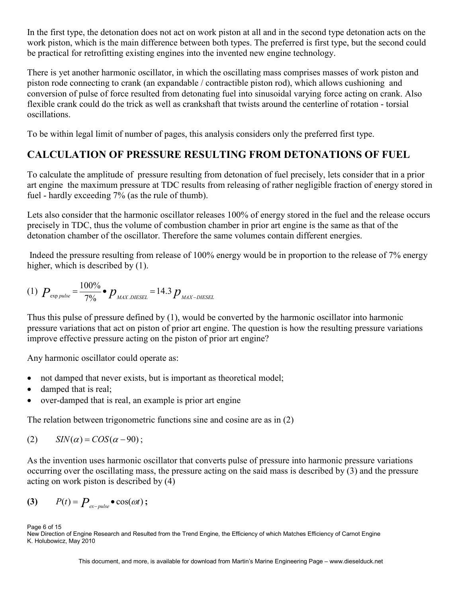In the first type, the detonation does not act on work piston at all and in the second type detonation acts on the work piston, which is the main difference between both types. The preferred is first type, but the second could be practical for retrofitting existing engines into the invented new engine technology.

There is yet another harmonic oscillator, in which the oscillating mass comprises masses of work piston and piston rode connecting to crank (an expandable / contractible piston rod), which allows cushioning and conversion of pulse of force resulted from detonating fuel into sinusoidal varying force acting on crank. Also flexible crank could do the trick as well as crankshaft that twists around the centerline of rotation - torsial oscillations.

To be within legal limit of number of pages, this analysis considers only the preferred first type.

#### **CALCULATION OF PRESSURE RESULTING FROM DETONATIONS OF FUEL**

To calculate the amplitude of pressure resulting from detonation of fuel precisely, lets consider that in a prior art engine the maximum pressure at TDC results from releasing of rather negligible fraction of energy stored in fuel - hardly exceeding 7% (as the rule of thumb).

Lets also consider that the harmonic oscillator releases 100% of energy stored in the fuel and the release occurs precisely in TDC, thus the volume of combustion chamber in prior art engine is the same as that of the detonation chamber of the oscillator. Therefore the same volumes contain different energies.

 Indeed the pressure resulting from release of 100% energy would be in proportion to the release of 7% energy higher, which is described by (1).

(1) 
$$
P_{\text{exp pulse}} = \frac{100\%}{7\%} \cdot p_{\text{MAX.DIESEL}} = 14.3 p_{\text{MAX-DIESEL}}
$$

Thus this pulse of pressure defined by (1), would be converted by the harmonic oscillator into harmonic pressure variations that act on piston of prior art engine. The question is how the resulting pressure variations improve effective pressure acting on the piston of prior art engine?

Any harmonic oscillator could operate as:

- not damped that never exists, but is important as theoretical model;
- damped that is real;
- over-damped that is real, an example is prior art engine

The relation between trigonometric functions sine and cosine are as in (2)

$$
(2) \qquad \text{SIN}(\alpha) = COS(\alpha - 90);
$$

As the invention uses harmonic oscillator that converts pulse of pressure into harmonic pressure variations occurring over the oscillating mass, the pressure acting on the said mass is described by (3) and the pressure acting on work piston is described by (4)

$$
(3) \qquad P(t) = P_{ex-pulse} \bullet \cos(\omega t) \, ;
$$

Page 6 of 15

New Direction of Engine Research and Resulted from the Trend Engine, the Efficiency of which Matches Efficiency of Carnot Engine K. Holubowicz, May 2010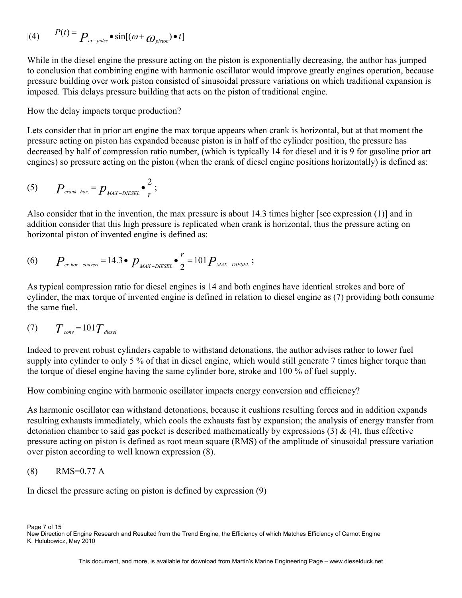$$
|(4) \qquad P(t) = P_{ex-pulse} \bullet \sin[(\omega + \omega_{piston}) \bullet t]
$$

While in the diesel engine the pressure acting on the piston is exponentially decreasing, the author has jumped to conclusion that combining engine with harmonic oscillator would improve greatly engines operation, because pressure building over work piston consisted of sinusoidal pressure variations on which traditional expansion is imposed. This delays pressure building that acts on the piston of traditional engine.

How the delay impacts torque production?

Lets consider that in prior art engine the max torque appears when crank is horizontal, but at that moment the pressure acting on piston has expanded because piston is in half of the cylinder position, the pressure has decreased by half of compression ratio number, (which is typically 14 for diesel and it is 9 for gasoline prior art engines) so pressure acting on the piston (when the crank of diesel engine positions horizontally) is defined as:

$$
(5) \qquad P_{\text{crank-hor.}} = p_{\text{MAX-DIESEL}} \bullet \frac{2}{r};
$$

Also consider that in the invention, the max pressure is about 14.3 times higher [see expression (1)] and in addition consider that this high pressure is replicated when crank is horizontal, thus the pressure acting on horizontal piston of invented engine is defined as:

(6) 
$$
P_{\text{cr.hor.-convert}} = 14.3 \cdot p_{\text{MAX-DIESEL}} \cdot \frac{r}{2} = 101 P_{\text{MAX-DIESEL}};
$$

As typical compression ratio for diesel engines is 14 and both engines have identical strokes and bore of cylinder, the max torque of invented engine is defined in relation to diesel engine as (7) providing both consume the same fuel.

$$
(7) \tT_{conv} = 101 T_{\text{diesel}}
$$

Indeed to prevent robust cylinders capable to withstand detonations, the author advises rather to lower fuel supply into cylinder to only 5 % of that in diesel engine, which would still generate 7 times higher torque than the torque of diesel engine having the same cylinder bore, stroke and 100 % of fuel supply.

#### How combining engine with harmonic oscillator impacts energy conversion and efficiency?

As harmonic oscillator can withstand detonations, because it cushions resulting forces and in addition expands resulting exhausts immediately, which cools the exhausts fast by expansion; the analysis of energy transfer from detonation chamber to said gas pocket is described mathematically by expressions  $(3)$  &  $(4)$ , thus effective pressure acting on piston is defined as root mean square (RMS) of the amplitude of sinusoidal pressure variation over piston according to well known expression (8).

#### (8) RMS=0.77 A

In diesel the pressure acting on piston is defined by expression (9)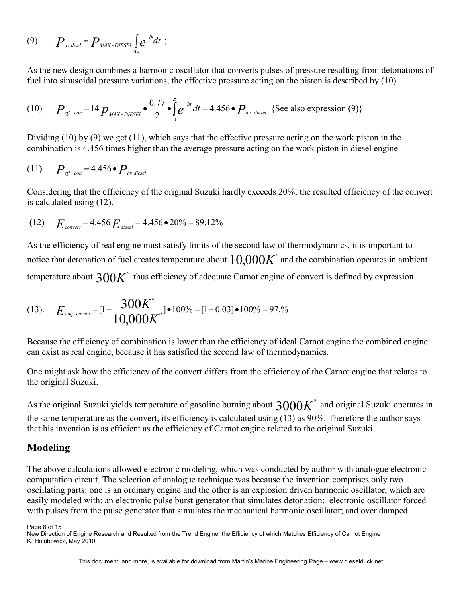$$
(9) \qquad P_{\text{av.disel}} = P_{\text{MAX-DIESEL}} \int_{0\pi} e^{-\beta t} dt ;
$$

As the new design combines a harmonic oscillator that converts pulses of pressure resulting from detonations of fuel into sinusoidal pressure variations, the effective pressure acting on the piston is described by (10).

(10) 
$$
P_{\text{eff-con}} = 14 p_{\text{MAX-DIESEL}} \cdot \frac{0.77}{2} \cdot \int_{0}^{\pi} e^{-\beta t} dt = 4.456 \cdot P_{\text{av-diesel}} \text{ {See also expression (9)}}
$$

Dividing  $(10)$  by  $(9)$  we get  $(11)$ , which says that the effective pressure acting on the work piston in the combination is 4.456 times higher than the average pressure acting on the work piston in diesel engine

$$
(11) \qquad P_{\text{eff-con}} = 4.456 \bullet P_{\text{av.diesel}}
$$

Considering that the efficiency of the original Suzuki hardly exceeds 20%, the resulted efficiency of the convert is calculated using (12).

(12) 
$$
E_{convert} = 4.456 E_{diesel} = 4.456 \cdot 20\% = 89.12\%
$$

As the efficiency of real engine must satisfy limits of the second law of thermodynamics, it is important to notice that detonation of fuel creates temperature about  $10{,}000K^{\circ}$  and the combination operates in ambient temperature about  $300K^{\circ}$  thus efficiency of adequate Carnot engine of convert is defined by expression

(13). 
$$
E_{\text{adq-carnot}} = [1 - \frac{300K^{\circ}}{10,000K^{\circ}}] \cdot 100\% = [1 - 0.03] \cdot 100\% = 97. \%
$$

Because the efficiency of combination is lower than the efficiency of ideal Carnot engine the combined engine can exist as real engine, because it has satisfied the second law of thermodynamics.

One might ask how the efficiency of the convert differs from the efficiency of the Carnot engine that relates to the original Suzuki.

As the original Suzuki yields temperature of gasoline burning about  $3000K^{\circ}$  and original Suzuki operates in the same temperature as the convert, its efficiency is calculated using (13) as 90%. Therefore the author says that his invention is as efficient as the efficiency of Carnot engine related to the original Suzuki.

#### **Modeling**

The above calculations allowed electronic modeling, which was conducted by author with analogue electronic computation circuit. The selection of analogue technique was because the invention comprises only two oscillating parts: one is an ordinary engine and the other is an explosion driven harmonic oscillator, which are easily modeled with: an electronic pulse burst generator that simulates detonation; electronic oscillator forced with pulses from the pulse generator that simulates the mechanical harmonic oscillator; and over damped

Page 8 of 15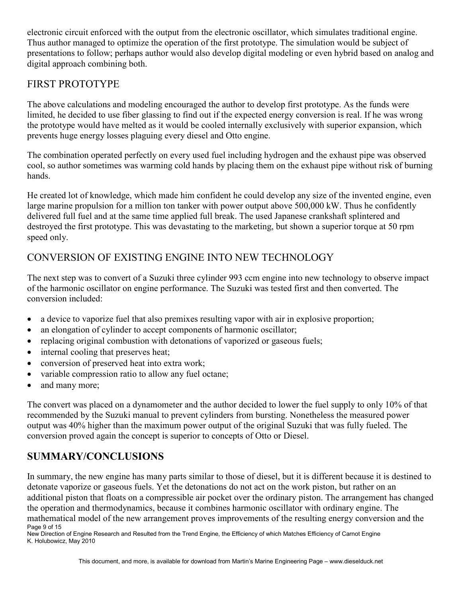electronic circuit enforced with the output from the electronic oscillator, which simulates traditional engine. Thus author managed to optimize the operation of the first prototype. The simulation would be subject of presentations to follow; perhaps author would also develop digital modeling or even hybrid based on analog and digital approach combining both.

#### FIRST PROTOTYPE

The above calculations and modeling encouraged the author to develop first prototype. As the funds were limited, he decided to use fiber glassing to find out if the expected energy conversion is real. If he was wrong the prototype would have melted as it would be cooled internally exclusively with superior expansion, which prevents huge energy losses plaguing every diesel and Otto engine.

The combination operated perfectly on every used fuel including hydrogen and the exhaust pipe was observed cool, so author sometimes was warming cold hands by placing them on the exhaust pipe without risk of burning hands.

He created lot of knowledge, which made him confident he could develop any size of the invented engine, even large marine propulsion for a million ton tanker with power output above 500,000 kW. Thus he confidently delivered full fuel and at the same time applied full break. The used Japanese crankshaft splintered and destroyed the first prototype. This was devastating to the marketing, but shown a superior torque at 50 rpm speed only.

#### CONVERSION OF EXISTING ENGINE INTO NEW TECHNOLOGY

The next step was to convert of a Suzuki three cylinder 993 ccm engine into new technology to observe impact of the harmonic oscillator on engine performance. The Suzuki was tested first and then converted. The conversion included:

- a device to vaporize fuel that also premixes resulting vapor with air in explosive proportion;
- an elongation of cylinder to accept components of harmonic oscillator;
- replacing original combustion with detonations of vaporized or gaseous fuels;
- internal cooling that preserves heat;
- conversion of preserved heat into extra work;
- variable compression ratio to allow any fuel octane;
- and many more;

The convert was placed on a dynamometer and the author decided to lower the fuel supply to only 10% of that recommended by the Suzuki manual to prevent cylinders from bursting. Nonetheless the measured power output was 40% higher than the maximum power output of the original Suzuki that was fully fueled. The conversion proved again the concept is superior to concepts of Otto or Diesel.

## **SUMMARY/CONCLUSIONS**

Page 9 of 15 In summary, the new engine has many parts similar to those of diesel, but it is different because it is destined to detonate vaporize or gaseous fuels. Yet the detonations do not act on the work piston, but rather on an additional piston that floats on a compressible air pocket over the ordinary piston. The arrangement has changed the operation and thermodynamics, because it combines harmonic oscillator with ordinary engine. The mathematical model of the new arrangement proves improvements of the resulting energy conversion and the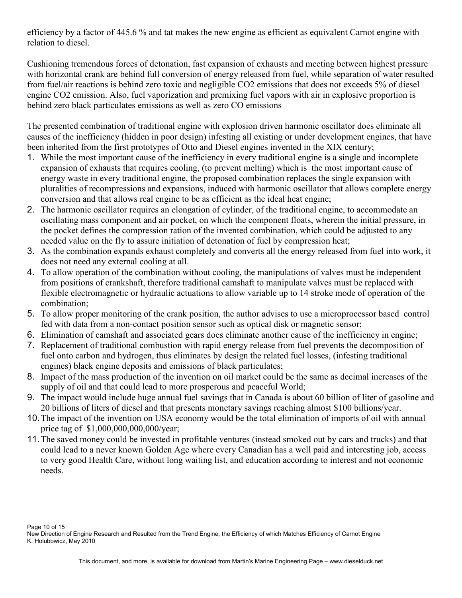efficiency by a factor of 445.6 % and tat makes the new engine as efficient as equivalent Carnot engine with relation to diesel.

Cushioning tremendous forces of detonation, fast expansion of exhausts and meeting between highest pressure with horizontal crank are behind full conversion of energy released from fuel, while separation of water resulted from fuel/air reactions is behind zero toxic and negligible CO2 emissions that does not exceeds 5% of diesel engine CO2 emission. Also, fuel vaporization and premixing fuel vapors with air in explosive proportion is behind zero black particulates emissions as well as zero CO emissions

The presented combination of traditional engine with explosion driven harmonic oscillator does eliminate all causes of the inefficiency (hidden in poor design) infesting all existing or under development engines, that have been inherited from the first prototypes of Otto and Diesel engines invented in the XIX century;

- 1. While the most important cause of the inefficiency in every traditional engine is a single and incomplete expansion of exhausts that requires cooling, (to prevent melting) which is the most important cause of energy waste in every traditional engine, the proposed combination replaces the single expansion with pluralities of recompressions and expansions, induced with harmonic oscillator that allows complete energy conversion and that allows real engine to be as efficient as the ideal heat engine;
- 2. The harmonic oscillator requires an elongation of cylinder, of the traditional engine, to accommodate an oscillating mass component and air pocket, on which the component floats, wherein the initial pressure, in the pocket defines the compression ration of the invented combination, which could be adjusted to any needed value on the fly to assure initiation of detonation of fuel by compression heat;
- 3. As the combination expands exhaust completely and converts all the energy released from fuel into work, it does not need any external cooling at all.
- 4. To allow operation of the combination without cooling, the manipulations of valves must be independent from positions of crankshaft, therefore traditional camshaft to manipulate valves must be replaced with flexible electromagnetic or hydraulic actuations to allow variable up to 14 stroke mode of operation of the combination;
- 5. To allow proper monitoring of the crank position, the author advises to use a microprocessor based control fed with data from a non-contact position sensor such as optical disk or magnetic sensor;
- 6. Elimination of camshaft and associated gears does eliminate another cause of the inefficiency in engine;
- 7. Replacement of traditional combustion with rapid energy release from fuel prevents the decomposition of fuel onto carbon and hydrogen, thus eliminates by design the related fuel losses, (infesting traditional engines) black engine deposits and emissions of black particulates;
- 8. Impact of the mass production of the invention on oil market could be the same as decimal increases of the supply of oil and that could lead to more prosperous and peaceful World;
- 9. The impact would include huge annual fuel savings that in Canada is about 60 billion of liter of gasoline and 20 billions of liters of diesel and that presents monetary savings reaching almost \$100 billions/year.
- 10. The impact of the invention on USA economy would be the total elimination of imports of oil with annual price tag of \$1,000,000,000,000/year;
- 11. The saved money could be invested in profitable ventures (instead smoked out by cars and trucks) and that could lead to a never known Golden Age where every Canadian has a well paid and interesting job, access to very good Health Care, without long waiting list, and education according to interest and not economic needs.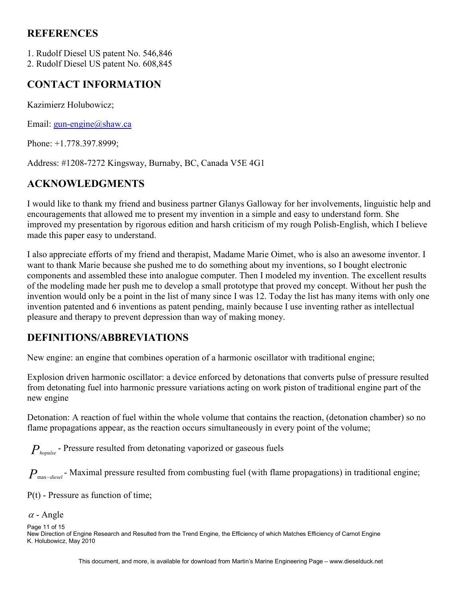#### **REFERENCES**

1. Rudolf Diesel US patent No. 546,846 2. Rudolf Diesel US patent No. 608,845

## **CONTACT INFORMATION**

Kazimierz Holubowicz;

Email: gun-engine@shaw.ca

Phone: +1.778.397.8999;

Address: #1208-7272 Kingsway, Burnaby, BC, Canada V5E 4G1

#### $\Lambda$ CKNOWLEDGMENTS

I would like to thank my friend and business partner Glanys Galloway for her involvements, linguistic help and encouragements that allowed me to present my invention in a simple and easy to understand form. She improved my presentation by rigorous edition and harsh criticism of my rough Polish-English, which I believe made this paper easy to understand.

I also appreciate efforts of my friend and therapist, Madame Marie Oimet, who is also an awesome inventor. I want to thank Marie because she pushed me to do something about my inventions, so I bought electronic components and assembled these into analogue computer. Then I modeled my invention. The excellent results of the modeling made her push me to develop a small prototype that proved my concept. Without her push the invention would only be a point in the list of many since I was 12. Today the list has many items with only one invention patented and 6 inventions as patent pending, mainly because I use inventing rather as intellectual pleasure and therapy to prevent depression than way of making money.

#### **DEFINITIONS/ABBREVIATIONS**

New engine: an engine that combines operation of a harmonic oscillator with traditional engine;

Explosion driven harmonic oscillator: a device enforced by detonations that converts pulse of pressure resulted from detonating fuel into harmonic pressure variations acting on work piston of traditional engine part of the new engine

Detonation: A reaction of fuel within the whole volume that contains the reaction, (detonation chamber) so no flame propagations appear, as the reaction occurs simultaneously in every point of the volume;

*Phopulse* - Pressure resulted from detonating vaporized or gaseous fuels

*P*<sub>max−*diesel*</sub> - Maximal pressure resulted from combusting fuel (with flame propagations) in traditional engine;

P(t) - Pressure as function of time;

 $\alpha$  - Angle

Page 11 of 15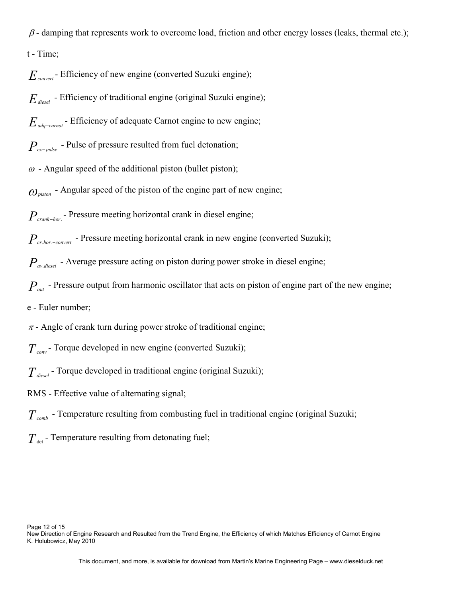$\beta$  - damping that represents work to overcome load, friction and other energy losses (leaks, thermal etc.); t - Time;

*Econvert* - Efficiency of new engine (converted Suzuki engine);

*E*<sub>diesel</sub> - Efficiency of traditional engine (original Suzuki engine);

*Eadq*−*carnot* - Efficiency of adequate Carnot engine to new engine;

*P*<sub>ex−pulse of pressure resulted from fuel detonation;</sub>

 $\omega$  - Angular speed of the additional piston (bullet piston);

 $\omega_{\text{piston}}$  - Angular speed of the piston of the engine part of new engine;

*Pcrank*−*hor*. - Pressure meeting horizontal crank in diesel engine;

*Pcr*.*hor*.−*convert* - Pressure meeting horizontal crank in new engine (converted Suzuki);

*Pav*.*diesel* - Average pressure acting on piston during power stroke in diesel engine;

 $P_{\textit{out}}$  - Pressure output from harmonic oscillator that acts on piston of engine part of the new engine;

e - Euler number;

 $\pi$  - Angle of crank turn during power stroke of traditional engine;

- *Tconv* Torque developed in new engine (converted Suzuki);
- *Tdiesel* Torque developed in traditional engine (original Suzuki);

RMS - Effective value of alternating signal;

*Tcomb* - Temperature resulting from combusting fuel in traditional engine (original Suzuki;

 $T_{\text{det}}$  - Temperature resulting from detonating fuel;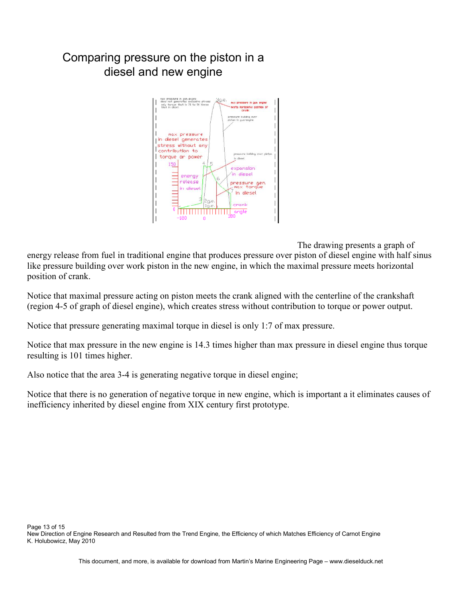## Comparing pressure on the piston in a diesel and new engine



The drawing presents a graph of

energy release from fuel in traditional engine that produces pressure over piston of diesel engine with half sinus like pressure building over work piston in the new engine, in which the maximal pressure meets horizontal position of crank.

Notice that maximal pressure acting on piston meets the crank aligned with the centerline of the crankshaft (region 4-5 of graph of diesel engine), which creates stress without contribution to torque or power output.

Notice that pressure generating maximal torque in diesel is only 1:7 of max pressure.

Notice that max pressure in the new engine is 14.3 times higher than max pressure in diesel engine thus torque resulting is 101 times higher.

Also notice that the area 3-4 is generating negative torque in diesel engine;

Notice that there is no generation of negative torque in new engine, which is important a it eliminates causes of inefficiency inherited by diesel engine from XIX century first prototype.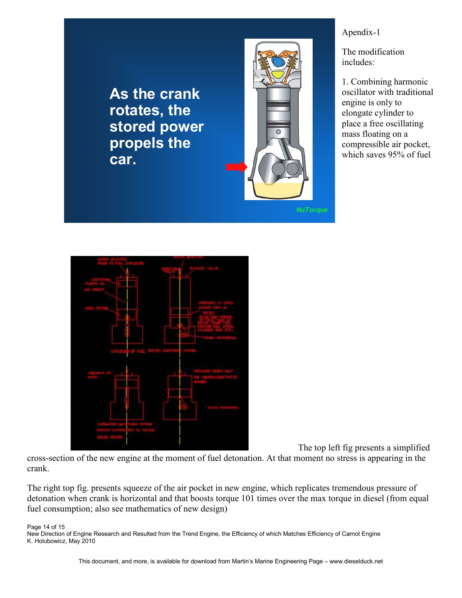

#### Apendix-1

The modification includes:

1. Combining harmonic oscillator with traditional engine is only to elongate cylinder to place a free oscillating mass floating on a compressible air pocket, which saves 95% of fuel



The top left fig presents a simplified

cross-section of the new engine at the moment of fuel detonation. At that moment no stress is appearing in the crank.

The right top fig. presents squeeze of the air pocket in new engine, which replicates tremendous pressure of detonation when crank is horizontal and that boosts torque 101 times over the max torque in diesel (from equal fuel consumption; also see mathematics of new design)

Page 14 of 15